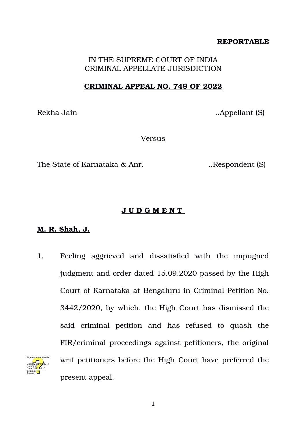# **REPORTABLE**

IN THE SUPREME COURT OF INDIA CRIMINAL APPELLATE JURISDICTION

### **CRIMINAL APPEAL NO. 749 OF 2022**

Rekha Jain ..Appellant (S)

**Versus** 

The State of Karnataka & Anr. ..Respondent (S)

#### **J U D G M E N T**

#### **M. R. Shah, J.**

Reason:

1. Feeling aggrieved and dissatisfied with the impugned judgment and order dated 15.09.2020 passed by the High Court of Karnataka at Bengaluru in Criminal Petition No. 3442/2020, by which, the High Court has dismissed the said criminal petition and has refused to quash the FIR/criminal proceedings against petitioners, the original writ petitioners before the High Court have preferred the present appeal. Digitally signed by R Natarajan Date: 2022.05.10 17:24:46 IST Signature Not Verified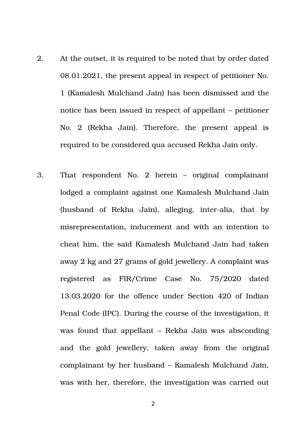- 2. At the outset, it is required to be noted that by order dated 08.01.2021, the present appeal in respect of petitioner No. 1 (Kamalesh Mulchand Jain) has been dismissed and the notice has been issued in respect of appellant – petitioner No. 2 (Rekha Jain). Therefore, the present appeal is required to be considered qua accused Rekha Jain only.
- 3. That respondent No. 2 herein – original complainant lodged a complaint against one Kamalesh Mulchand Jain (husband of Rekha Jain), alleging, inter-alia, that by misrepresentation, inducement and with an intention to cheat him, the said Kamalesh Mulchand Jain had taken away 2 kg and 27 grams of gold jewellery. A complaint was registered as FIR/Crime Case No. 75/2020 dated 13.03.2020 for the offence under Section 420 of Indian Penal Code (IPC). During the course of the investigation, it was found that appellant – Rekha Jain was absconding and the gold jewellery, taken away from the original complainant by her husband – Kamalesh Mulchand Jain, was with her, therefore, the investigation was carried out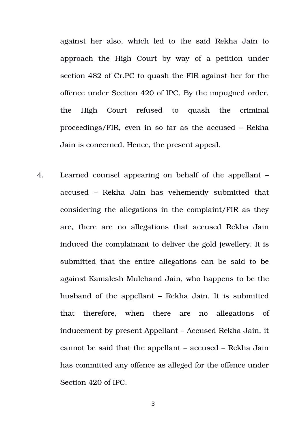against her also, which led to the said Rekha Jain to approach the High Court by way of a petition under section 482 of Cr.PC to quash the FIR against her for the offence under Section 420 of IPC. By the impugned order, the High Court refused to quash the criminal proceedings/FIR, even in so far as the accused – Rekha Jain is concerned. Hence, the present appeal.

4. Learned counsel appearing on behalf of the appellant – accused – Rekha Jain has vehemently submitted that considering the allegations in the complaint/FIR as they are, there are no allegations that accused Rekha Jain induced the complainant to deliver the gold jewellery. It is submitted that the entire allegations can be said to be against Kamalesh Mulchand Jain, who happens to be the husband of the appellant – Rekha Jain. It is submitted that therefore, when there are no allegations of inducement by present Appellant – Accused Rekha Jain, it cannot be said that the appellant – accused – Rekha Jain has committed any offence as alleged for the offence under Section 420 of IPC.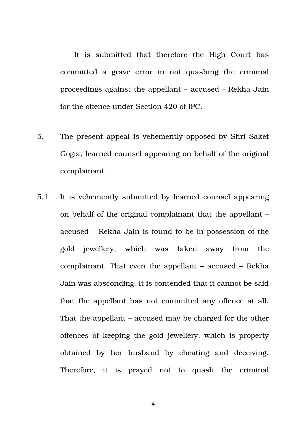It is submitted that therefore the High Court has committed a grave error in not quashing the criminal proceedings against the appellant – accused Rekha Jain for the offence under Section 420 of IPC.

- 5. The present appeal is vehemently opposed by Shri Saket Gogia, learned counsel appearing on behalf of the original complainant.
- 5.1 It is vehemently submitted by learned counsel appearing on behalf of the original complainant that the appellant – accused – Rekha Jain is found to be in possession of the gold jewellery, which was taken away from the complainant. That even the appellant – accused – Rekha Jain was absconding. It is contended that it cannot be said that the appellant has not committed any offence at all. That the appellant – accused may be charged for the other offences of keeping the gold jewellery, which is property obtained by her husband by cheating and deceiving. Therefore, it is prayed not to quash the criminal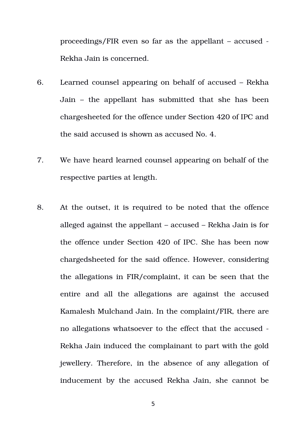proceedings/FIR even so far as the appellant – accused Rekha Jain is concerned.

- 6. Learned counsel appearing on behalf of accused Rekha Jain – the appellant has submitted that she has been chargesheeted for the offence under Section 420 of IPC and the said accused is shown as accused No. 4.
- 7. We have heard learned counsel appearing on behalf of the respective parties at length.
- 8. At the outset, it is required to be noted that the offence alleged against the appellant – accused – Rekha Jain is for the offence under Section 420 of IPC. She has been now chargedsheeted for the said offence. However, considering the allegations in FIR/complaint, it can be seen that the entire and all the allegations are against the accused Kamalesh Mulchand Jain. In the complaint/FIR, there are no allegations whatsoever to the effect that the accused Rekha Jain induced the complainant to part with the gold jewellery. Therefore, in the absence of any allegation of inducement by the accused Rekha Jain, she cannot be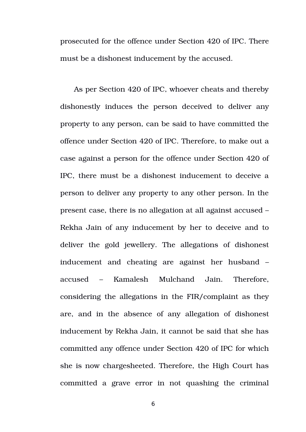prosecuted for the offence under Section 420 of IPC. There must be a dishonest inducement by the accused.

As per Section 420 of IPC, whoever cheats and thereby dishonestly induces the person deceived to deliver any property to any person, can be said to have committed the offence under Section 420 of IPC. Therefore, to make out a case against a person for the offence under Section 420 of IPC, there must be a dishonest inducement to deceive a person to deliver any property to any other person. In the present case, there is no allegation at all against accused – Rekha Jain of any inducement by her to deceive and to deliver the gold jewellery. The allegations of dishonest inducement and cheating are against her husband – accused – Kamalesh Mulchand Jain. Therefore, considering the allegations in the FIR/complaint as they are, and in the absence of any allegation of dishonest inducement by Rekha Jain, it cannot be said that she has committed any offence under Section 420 of IPC for which she is now chargesheeted. Therefore, the High Court has committed a grave error in not quashing the criminal